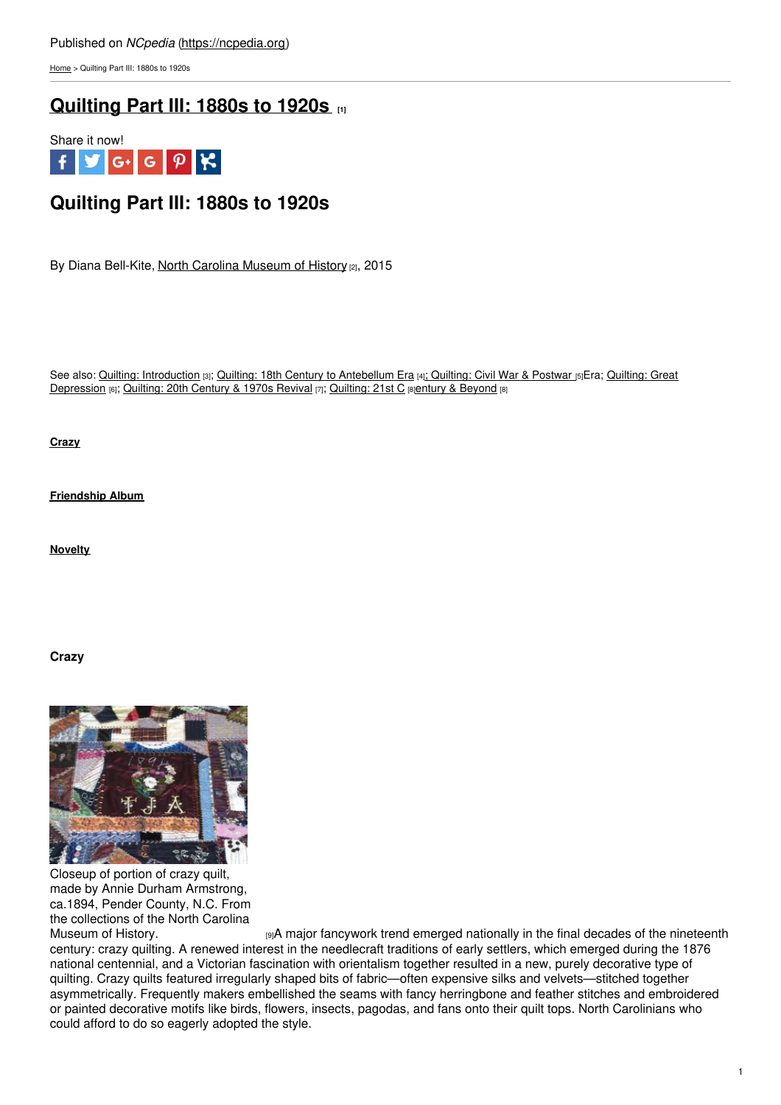[Home](https://ncpedia.org/) > Quilting Part III: 1880s to 1920s

# **[Quilting](https://ncpedia.org/quilting-part-iii-1880s-1920s) Part III: 1880s to 1920s [1]**



# **Quilting Part III: 1880s to 1920s**

By Diana Bell-Kite, North Carolina [Museum](https://www.ncmuseumofhistory.org/) of History [2], 2015

See also: Quilting: [Introduction](https://ncpedia.org/quilting-part-iv-great-depression) [3]; Quilting: 18th Century to [Antebellum](https://ncpedia.org/quilting-part-i-18th-century) Era [4]; [Quilting:](https://ncpedia.org/quilting-part-ii-civil-war-postwar) Civil War & Postwar [5]Era; Quilting: Great Depression [6]; [Quilting:](https://ncpedia.org/quilting-part-vi-21st-century-and) 20th Century & 1970s Revival [7]; Quilting: 21st C [8]entury & [Beyond](https://ncpedia.org/quilting-part-vi-21st-century-and) [8]

**[Crazy](https://ncpedia.org/quilting-part-iii-1880s-1920s#Crazy)**

**[Friendship](https://ncpedia.org/quilting-part-iii-1880s-1920s#Friendship) Album**

**[Novelty](https://ncpedia.org/quilting-part-iii-1880s-1920s#Novelty)**

## **Crazy**



Closeup of portion of crazy quilt, made by Annie Durham Armstrong, ca.1894, Pender County, N.C. From the collections of the North Carolina

[Museum](https://collections.ncdcr.gov/RediscoveryProficioPublicSearch/ShowItem.aspx?66281+&66281+) of History. **EXECT A MALGA MALGA MAKE THE INCORD giA major fancywork trend emerged nationally in the final decades of the nineteenth** century: crazy quilting. A renewed interest in the needlecraft traditions of early settlers, which emerged during the 1876 national centennial, and a Victorian fascination with orientalism together resulted in a new, purely decorative type of quilting. Crazy quilts featured irregularly shaped bits of fabric—often expensive silks and velvets—stitched together asymmetrically. Frequently makers embellished the seams with fancy herringbone and feather stitches and embroidered or painted decorative motifs like birds, flowers, insects, pagodas, and fans onto their quilt tops. North Carolinians who could afford to do so eagerly adopted the style.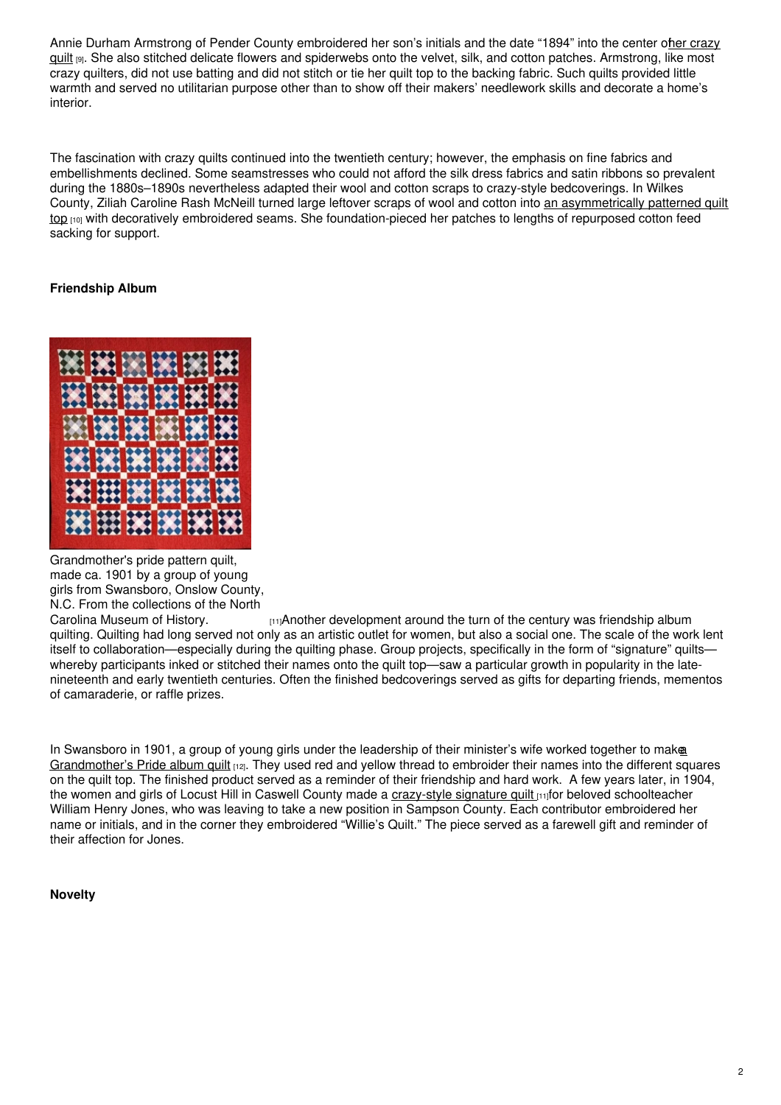Annie Durham Armstrong of Pender County [embroidered](https://collections.ncdcr.gov/RediscoveryProficioPublicSearch/ShowItem.aspx?66281+&66281+) her son's initials and the date "1894" into the center ofher crazy guilt [9]. She also stitched delicate flowers and spiderwebs onto the velvet, silk, and cotton patches. Armstrong, like most crazy quilters, did not use batting and did not stitch or tie her quilt top to the backing fabric. Such quilts provided little warmth and served no utilitarian purpose other than to show off their makers' needlework skills and decorate a home's interior.

The fascination with crazy quilts continued into the twentieth century; however, the emphasis on fine fabrics and embellishments declined. Some seamstresses who could not afford the silk dress fabrics and satin ribbons so prevalent during the 1880s–1890s nevertheless adapted their wool and cotton scraps to crazy-style bedcoverings. In Wilkes County, Ziliah Caroline Rash McNeill turned large leftover scraps of wool and cotton into an asymmetrically patterned quilt top [10] with decoratively embroidered seams. She [foundation-pieced](https://collections.ncdcr.gov/RediscoveryProficioPublicSearch/ShowItem.aspx?49332+&49332+) her patches to lengths of repurposed cotton feed sacking for support.

# **Friendship Album**



Grandmother's pride pattern quilt, made ca. 1901 by a group of young girls from Swansboro, Onslow County, N.C. From the collections of the North

Carolina [Museum](https://collections.ncdcr.gov/RediscoveryProficioPublicSearch/ShowItem.aspx?62571+&62571+) of History. [11]Another development around the turn of the century was friendship album quilting. Quilting had long served not only as an artistic outlet for women, but also a social one. The scale of the work lent itself to collaboration—especially during the quilting phase. Group projects, specifically in the form of "signature" quilts whereby participants inked or stitched their names onto the quilt top—saw a particular growth in popularity in the latenineteenth and early twentieth centuries. Often the finished bedcoverings served as gifts for departing friends, mementos of camaraderie, or raffle prizes.

In Swansboro in 1901, a group of young girls under the leadership of their minister's wife worked together to make [Grandmother's](https://collections.ncdcr.gov/RediscoveryProficioPublicSearch/ShowItem.aspx?50336+&50336+) Pride album quilt [12]. They used red and yellow thread to embroider their names into the different squares on the quilt top. The finished product served as a reminder of their friendship and hard work. A few years later, in 1904, the women and girls of Locust Hill in Caswell County made a [crazy-style](https://collections.ncdcr.gov/RediscoveryProficioPublicSearch/ShowItem.aspx?62571+&62571+) signature quilt the bloved schoolteacher William Henry Jones, who was leaving to take a new position in Sampson County. Each contributor embroidered her name or initials, and in the corner they embroidered "Willie's Quilt." The piece served as a farewell gift and reminder of their affection for Jones.

## **Novelty**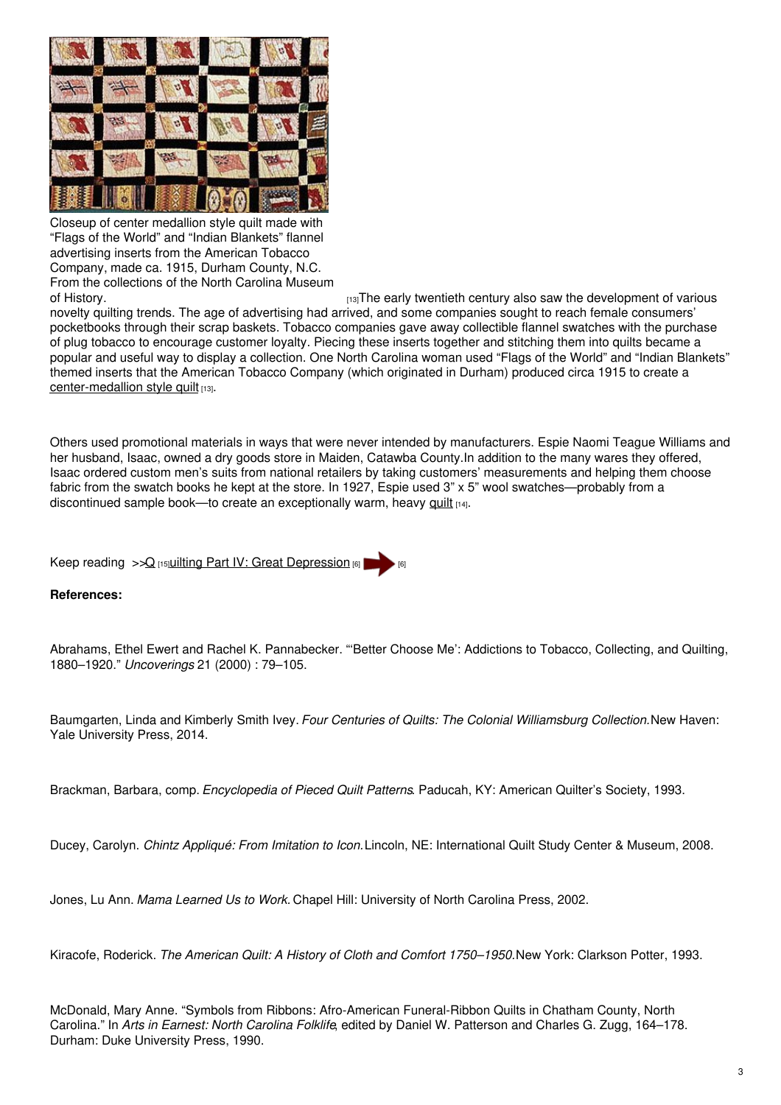

Closeup of center medallion style quilt made with "Flags of the World" and "Indian Blankets" flannel advertising inserts from the American Tobacco Company, made ca. 1915, Durham County, N.C. From the collections of the North Carolina Museum

of [History.](https://collections.ncdcr.gov/RediscoveryProficioPublicSearch/ShowItem.aspx?17941+&17941+) [13]The early twentieth century also saw the development of various novelty quilting trends. The age of advertising had arrived, and some companies sought to reach female consumers' pocketbooks through their scrap baskets. Tobacco companies gave away collectible flannel swatches with the purchase of plug tobacco to encourage customer loyalty. Piecing these inserts together and stitching them into quilts became a popular and useful way to display a collection. One North Carolina woman used "Flags of the World" and "Indian Blankets" themed inserts that the American Tobacco Company (which originated in Durham) produced circa 1915 to create a [center-medallion](https://collections.ncdcr.gov/RediscoveryProficioPublicSearch/ShowItem.aspx?17941+&17941+) style quilt [13].

Others used promotional materials in ways that were never intended by manufacturers. Espie Naomi Teague Williams and her husband, Isaac, owned a dry goods store in Maiden, Catawba County.In addition to the many wares they offered, Isaac ordered custom men's suits from national retailers by taking customers' measurements and helping them choose fabric from the swatch books he kept at the store. In 1927, Espie used 3" x 5" wool swatches—probably from a discontinued sample book—to create an exceptionally warm, heavy [quilt](https://collections.ncdcr.gov/RediscoveryProficioPublicSearch/ShowItem.aspx?48390+&48390+) [14].

Keep reading  $>>Q$  $>>Q$  [15] Uilting Part IV: Great [Depression](https://ncpedia.org/quilting-part-iv-great-depression) [6]

## **References:**

Abrahams, Ethel Ewert and Rachel K. Pannabecker. "'Better Choose Me': Addictions to Tobacco, Collecting, and Quilting, 1880–1920." *Uncoverings* 21 (2000) : 79–105.

Baumgarten, Linda and Kimberly Smith Ivey. *Four Centuries of Quilts: The Colonial Williamsburg Collection.*New Haven: Yale University Press, 2014.

Brackman, Barbara, comp. *Encyclopedia of Pieced Quilt Patterns*. Paducah, KY: American Quilter's Society, 1993.

Ducey, Carolyn. *Chintz Appliqué: From Imitation to Icon.*Lincoln, NE: International Quilt Study Center & Museum, 2008.

Jones, Lu Ann. *Mama Learned Us to Work.* Chapel Hill: University of North Carolina Press, 2002.

Kiracofe, Roderick. *The American Quilt: A History of Cloth and Comfort 1750–1950.*New York: Clarkson Potter, 1993.

McDonald, Mary Anne. "Symbols from Ribbons: Afro-American Funeral-Ribbon Quilts in Chatham County, North Carolina." In *Arts in Earnest: North Carolina Folklife*, edited by Daniel W. Patterson and Charles G. Zugg, 164–178. Durham: Duke University Press, 1990.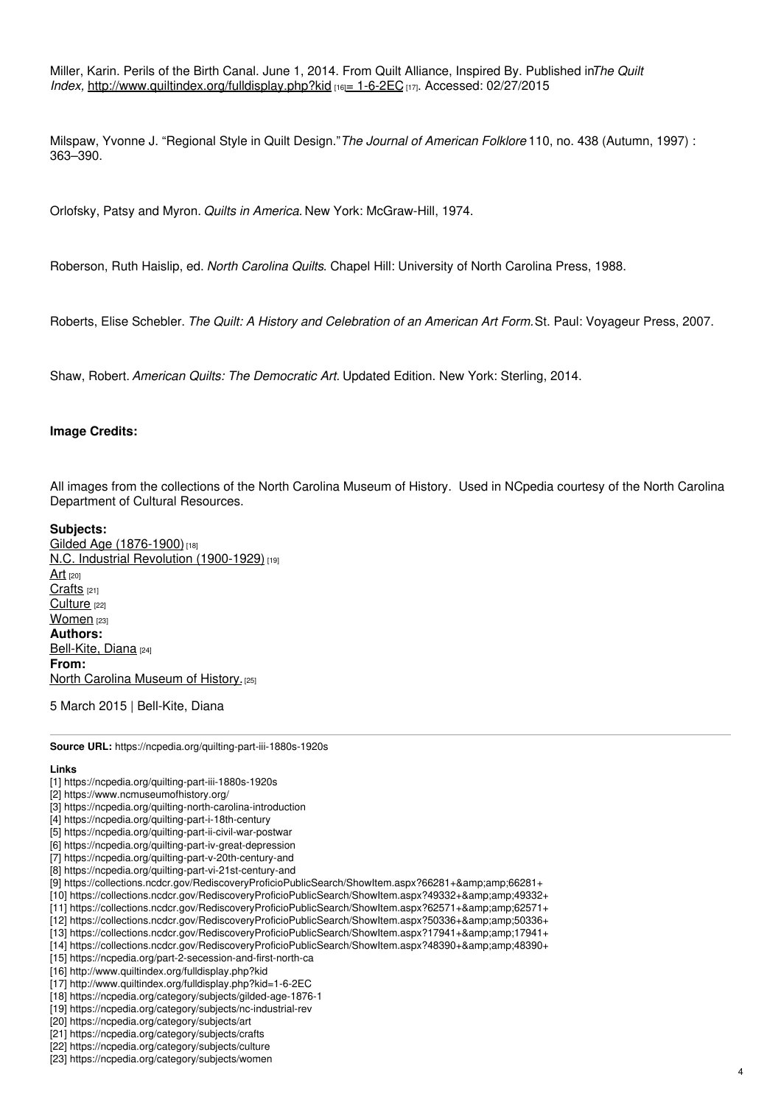Miller, Karin. Perils of the Birth Canal. June 1, 2014. From Quilt Alliance, Inspired By. Published in*The Quilt Index, <http://www.quiltindex.org/fulldisplay.php?kid> [16]* = [1-6-2EC](http://www.quiltindex.org/fulldisplay.php?kid=1-6-2EC) [17]. Accessed: 02/27/2015

Milspaw, Yvonne J. "Regional Style in Quilt Design."*The Journal of American Folklore* 110, no. 438 (Autumn, 1997) : 363–390.

Orlofsky, Patsy and Myron. *Quilts in America.* New York: McGraw-Hill, 1974.

Roberson, Ruth Haislip, ed. *North Carolina Quilts*. Chapel Hill: University of North Carolina Press, 1988.

Roberts, Elise Schebler. *The Quilt: A History and Celebration of an American Art Form.*St. Paul: Voyageur Press, 2007.

Shaw, Robert. *American Quilts: The Democratic Art.* Updated Edition. New York: Sterling, 2014.

### **Image Credits:**

All images from the collections of the North Carolina Museum of History. Used in NCpedia courtesy of the North Carolina Department of Cultural Resources.

### **Subjects:**

Gilded Age [\(1876-1900\)](https://ncpedia.org/category/subjects/gilded-age-1876-1)<sup>[18]</sup> N.C. Industrial Revolution [\(1900-1929\)](https://ncpedia.org/category/subjects/nc-industrial-rev) [19] [Art](https://ncpedia.org/category/subjects/art)  $[20]$ [Crafts](https://ncpedia.org/category/subjects/crafts) [21] [Culture](https://ncpedia.org/category/subjects/culture) [22] [Women](https://ncpedia.org/category/subjects/women) [23] **Authors:** [Bell-Kite,](https://ncpedia.org/category/authors/bell-kite-diana) Diana [24] **From:** North Carolina [Museum](https://ncpedia.org/category/entry-source/north-1) of History.<sup>[25]</sup>

5 March 2015 | Bell-Kite, Diana

**Source URL:** https://ncpedia.org/quilting-part-iii-1880s-1920s

#### **Links**

- [1] https://ncpedia.org/quilting-part-iii-1880s-1920s
- [2] https://www.ncmuseumofhistory.org/
- [3] https://ncpedia.org/quilting-north-carolina-introduction
- [4] https://ncpedia.org/quilting-part-i-18th-century
- [5] https://ncpedia.org/quilting-part-ii-civil-war-postwar
- [6] https://ncpedia.org/quilting-part-iv-great-depression
- [7] https://ncpedia.org/quilting-part-v-20th-century-and
- [8] https://ncpedia.org/quilting-part-vi-21st-century-and
- [9] https://collections.ncdcr.gov/RediscoveryProficioPublicSearch/ShowItem.aspx?66281+&66281+
- [10] https://collections.ncdcr.gov/RediscoveryProficioPublicSearch/ShowItem.aspx?49332+&49332+
- [11] https://collections.ncdcr.gov/RediscoveryProficioPublicSearch/ShowItem.aspx?62571+&62571+
- [12] https://collections.ncdcr.gov/RediscoveryProficioPublicSearch/ShowItem.aspx?50336+&50336+
- [13] https://collections.ncdcr.gov/RediscoveryProficioPublicSearch/ShowItem.aspx?17941+&17941+
- [14] https://collections.ncdcr.gov/RediscoveryProficioPublicSearch/ShowItem.aspx?48390+&48390+
- [15] https://ncpedia.org/part-2-secession-and-first-north-ca
- [16] http://www.quiltindex.org/fulldisplay.php?kid
- [17] http://www.quiltindex.org/fulldisplay.php?kid=1-6-2EC
- [18] https://ncpedia.org/category/subjects/gilded-age-1876-1
- [19] https://ncpedia.org/category/subjects/nc-industrial-rev
- [20] https://ncpedia.org/category/subjects/art
- [21] https://ncpedia.org/category/subjects/crafts
- [22] https://ncpedia.org/category/subjects/culture
- [23] https://ncpedia.org/category/subjects/women